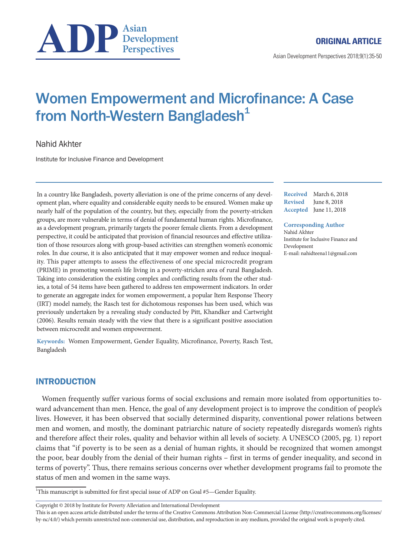

Asian Development Perspectives 2018;9(1):35-50

# Women Empowerment and Microfinance: A Case from North-Western Bangladesh<sup>1</sup>

Nahid Akhter

Institute for Inclusive Finance and Development

In a country like Bangladesh, poverty alleviation is one of the prime concerns of any development plan, where equality and considerable equity needs to be ensured. Women make up nearly half of the population of the country, but they, especially from the poverty-stricken groups, are more vulnerable in terms of denial of fundamental human rights. Microfinance, as a development program, primarily targets the poorer female clients. From a development perspective, it could be anticipated that provision of financial resources and effective utilization of those resources along with group-based activities can strengthen women's economic roles. In due course, it is also anticipated that it may empower women and reduce inequality. This paper attempts to assess the effectiveness of one special microcredit program (PRIME) in promoting women's life living in a poverty-stricken area of rural Bangladesh. Taking into consideration the existing complex and conflicting results from the other studies, a total of 54 items have been gathered to address ten empowerment indicators. In order to generate an aggregate index for women empowerment, a popular Item Response Theory (IRT) model namely, the Rasch test for dichotomous responses has been used, which was previously undertaken by a revealing study conducted by Pitt, Khandker and Cartwright (2006). Results remain steady with the view that there is a significant positive association between microcredit and women empowerment.

**Keywords:** Women Empowerment, Gender Equality, Microfinance, Poverty, Rasch Test, Bangladesh

# INTRODUCTION

Women frequently suffer various forms of social exclusions and remain more isolated from opportunities toward advancement than men. Hence, the goal of any development project is to improve the condition of people's lives. However, it has been observed that socially determined disparity, conventional power relations between men and women, and mostly, the dominant patriarchic nature of society repeatedly disregards women's rights and therefore affect their roles, quality and behavior within all levels of society. A UNESCO (2005, pg. 1) report claims that "if poverty is to be seen as a denial of human rights, it should be recognized that women amongst the poor, bear doubly from the denial of their human rights – first in terms of gender inequality, and second in terms of poverty". Thus, there remains serious concerns over whether development programs fail to promote the status of men and women in the same ways.

<sup>1</sup>This manuscript is submitted for first special issue of ADP on Goal #5-Gender Equality.

Copyright © 2018 by Institute for Poverty Alleviation and International Development

This is an open access article distributed under the terms of the Creative Commons Attribution Non-Commercial License (http://creativecommons.org/licenses/ by-nc/4.0/) which permits unrestricted non-commercial use, distribution, and reproduction in any medium, provided the original work is properly cited.

**Received** March 6, 2018 **Revised** June 8, 2018 **Accepted** June 11, 2018

#### **Corresponding Author**

Nahid Akhter Institute for Inclusive Finance and Development E-mail: nahidteena11@gmail.com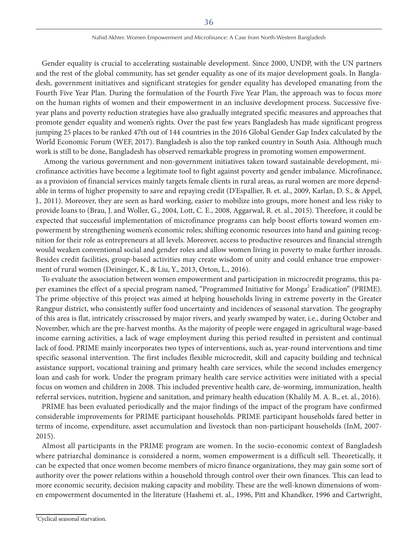#### Nahid Akhter. Women Empowerment and Microfinance: A Case from North-Western Bangladesh

Gender equality is crucial to accelerating sustainable development. Since 2000, UNDP, with the UN partners and the rest of the global community, has set gender equality as one of its major development goals. In Bangladesh, government initiatives and significant strategies for gender equality has developed emanating from the Fourth Five Year Plan. During the formulation of the Fourth Five Year Plan, the approach was to focus more on the human rights of women and their empowerment in an inclusive development process. Successive fiveyear plans and poverty reduction strategies have also gradually integrated specific measures and approaches that promote gender equality and women's rights. Over the past few years Bangladesh has made significant progress jumping 25 places to be ranked 47th out of 144 countries in the 2016 Global Gender Gap Index calculated by the World Economic Forum (WEF, 2017). Bangladesh is also the top ranked country in South Asia. Although much work is still to be done, Bangladesh has observed remarkable progress in promoting women empowerment.

 Among the various government and non-government initiatives taken toward sustainable development, microfinance activities have become a legitimate tool to fight against poverty and gender imbalance. Microfinance, as a provision of financial services mainly targets female clients in rural areas, as rural women are more dependable in terms of higher propensity to save and repaying credit (D'Espallier, B. et. al., 2009, Karlan, D. S., & Appel, J., 2011). Moreover, they are seen as hard working, easier to mobilize into groups, more honest and less risky to provide loans to (Brau, J. and Woller, G., 2004, Lott, C. E., 2008, Aggarwal, R. et. al., 2015). Therefore, it could be expected that successful implementation of microfinance programs can help boost efforts toward women empowerment by strengthening women's economic roles; shifting economic resources into hand and gaining recognition for their role as entrepreneurs at all levels. Moreover, access to productive resources and financial strength would weaken conventional social and gender roles and allow women living in poverty to make further inroads. Besides credit facilities, group-based activities may create wisdom of unity and could enhance true empowerment of rural women (Deininger, K., & Liu, Y., 2013, Orton, L., 2016).

To evaluate the association between women empowerment and participation in microcredit programs, this paper examines the effect of a special program named, "Programmed Initiative for Monga<sup>2</sup> Eradication" (PRIME). The prime objective of this project was aimed at helping households living in extreme poverty in the Greater Rangpur district, who consistently suffer food uncertainty and incidences of seasonal starvation. The geography of this area is flat, intricately crisscrossed by major rivers, and yearly swamped by water, i.e., during October and November, which are the pre-harvest months. As the majority of people were engaged in agricultural wage-based income earning activities, a lack of wage employment during this period resulted in persistent and continual lack of food. PRIME mainly incorporates two types of interventions, such as, year-round interventions and time specific seasonal intervention. The first includes flexible microcredit, skill and capacity building and technical assistance support, vocational training and primary health care services, while the second includes emergency loan and cash for work. Under the program primary health care service activities were initiated with a special focus on women and children in 2008. This included preventive health care, de-worming, immunization, health referral services, nutrition, hygiene and sanitation, and primary health education (Khalily M. A. B., et. al., 2016).

PRIME has been evaluated periodically and the major findings of the impact of the program have confirmed considerable improvements for PRIME participant households. PRIME participant households fared better in terms of income, expenditure, asset accumulation and livestock than non-participant households (InM, 2007- 2015).

Almost all participants in the PRIME program are women. In the socio-economic context of Bangladesh where patriarchal dominance is considered a norm, women empowerment is a difficult sell. Theoretically, it can be expected that once women become members of micro finance organizations, they may gain some sort of authority over the power relations within a household through control over their own finances. This can lead to more economic security, decision making capacity and mobility. These are the well-known dimensions of women empowerment documented in the literature (Hashemi et. al., 1996, Pitt and Khandker, 1996 and Cartwright,

<sup>2</sup> Cyclical seasonal starvation.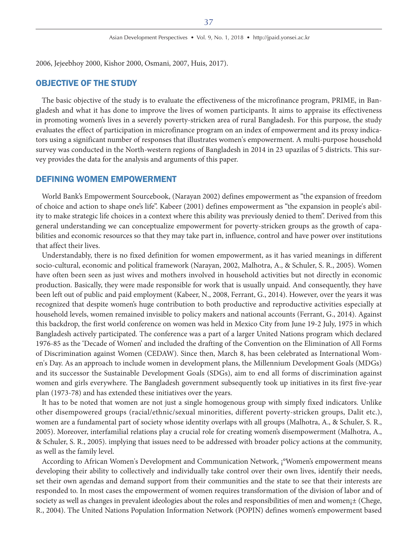2006, Jejeebhoy 2000, Kishor 2000, Osmani, 2007, Huis, 2017).

# OBJECTIVE OF THE STUDY

The basic objective of the study is to evaluate the effectiveness of the microfinance program, PRIME, in Bangladesh and what it has done to improve the lives of women participants. It aims to appraise its effectiveness in promoting women's lives in a severely poverty-stricken area of rural Bangladesh. For this purpose, the study evaluates the effect of participation in microfinance program on an index of empowerment and its proxy indicators using a significant number of responses that illustrates women's empowerment. A multi-purpose household survey was conducted in the North-western regions of Bangladesh in 2014 in 23 upazilas of 5 districts. This survey provides the data for the analysis and arguments of this paper.

## DEFINING WOMEN EMPOWERMENT

World Bank's Empowerment Sourcebook, (Narayan 2002) defines empowerment as "the expansion of freedom of choice and action to shape one's life". Kabeer (2001) defines empowerment as "the expansion in people's ability to make strategic life choices in a context where this ability was previously denied to them". Derived from this general understanding we can conceptualize empowerment for poverty-stricken groups as the growth of capabilities and economic resources so that they may take part in, influence, control and have power over institutions that affect their lives.

Understandably, there is no fixed definition for women empowerment, as it has varied meanings in different socio-cultural, economic and political framework (Narayan, 2002, Malhotra, A., & Schuler, S. R., 2005). Women have often been seen as just wives and mothers involved in household activities but not directly in economic production. Basically, they were made responsible for work that is usually unpaid. And consequently, they have been left out of public and paid employment (Kabeer, N., 2008, Ferrant, G., 2014). However, over the years it was recognized that despite women's huge contribution to both productive and reproductive activities especially at household levels, women remained invisible to policy makers and national accounts (Ferrant, G., 2014). Against this backdrop, the first world conference on women was held in Mexico City from June 19-2 July, 1975 in which Bangladesh actively participated. The conference was a part of a larger United Nations program which declared 1976-85 as the 'Decade of Women' and included the drafting of the Convention on the Elimination of All Forms of Discrimination against Women (CEDAW). Since then, March 8, has been celebrated as International Women's Day. As an approach to include women in development plans, the Millennium Development Goals (MDGs) and its successor the Sustainable Development Goals (SDGs), aim to end all forms of discrimination against women and girls everywhere. The Bangladesh government subsequently took up initiatives in its first five-year plan (1973-78) and has extended these initiatives over the years.

It has to be noted that women are not just a single homogenous group with simply fixed indicators. Unlike other disempowered groups (racial/ethnic/sexual minorities, different poverty-stricken groups, Dalit etc.), women are a fundamental part of society whose identity overlaps with all groups (Malhotra, A., & Schuler, S. R., 2005). Moreover, interfamilial relations play a crucial role for creating women's disempowerment (Malhotra, A., & Schuler, S. R., 2005). implying that issues need to be addressed with broader policy actions at the community, as well as the family level.

According to African Women's Development and Communication Network, ¡°Women's empowerment means developing their ability to collectively and individually take control over their own lives, identify their needs, set their own agendas and demand support from their communities and the state to see that their interests are responded to. In most cases the empowerment of women requires transformation of the division of labor and of society as well as changes in prevalent ideologies about the roles and responsibilities of men and women<sub>j</sub>± (Chege, R., 2004). The United Nations Population Information Network (POPIN) defines women's empowerment based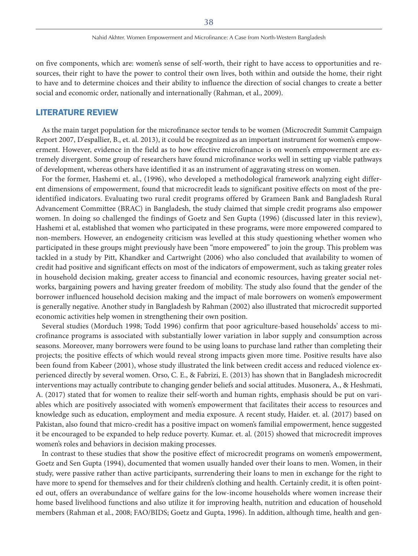on five components, which are: women's sense of self-worth, their right to have access to opportunities and resources, their right to have the power to control their own lives, both within and outside the home, their right to have and to determine choices and their ability to influence the direction of social changes to create a better social and economic order, nationally and internationally (Rahman, et al., 2009).

# LITERATURE REVIEW

As the main target population for the microfinance sector tends to be women (Microcredit Summit Campaign Report 2007, D'espallier, B., et. al. 2013), it could be recognized as an important instrument for women's empowerment. However, evidence in the field as to how effective microfinance is on women's empowerment are extremely divergent. Some group of researchers have found microfinance works well in setting up viable pathways of development, whereas others have identified it as an instrument of aggravating stress on women.

For the former, Hashemi et. al., (1996), who developed a methodological framework analyzing eight different dimensions of empowerment, found that microcredit leads to significant positive effects on most of the preidentified indicators. Evaluating two rural credit programs offered by Grameen Bank and Bangladesh Rural Advancement Committee (BRAC) in Bangladesh, the study claimed that simple credit programs also empower women. In doing so challenged the findings of Goetz and Sen Gupta (1996) (discussed later in this review), Hashemi et al, established that women who participated in these programs, were more empowered compared to non-members. However, an endogeneity criticism was levelled at this study questioning whether women who participated in these groups might previously have been "more empowered" to join the group. This problem was tackled in a study by Pitt, Khandker and Cartwright (2006) who also concluded that availability to women of credit had positive and significant effects on most of the indicators of empowerment, such as taking greater roles in household decision making, greater access to financial and economic resources, having greater social networks, bargaining powers and having greater freedom of mobility. The study also found that the gender of the borrower influenced household decision making and the impact of male borrowers on women's empowerment is generally negative. Another study in Bangladesh by Rahman (2002) also illustrated that microcredit supported economic activities help women in strengthening their own position.

Several studies (Morduch 1998; Todd 1996) confirm that poor agriculture-based households' access to microfinance programs is associated with substantially lower variation in labor supply and consumption across seasons. Moreover, many borrowers were found to be using loans to purchase land rather than completing their projects; the positive effects of which would reveal strong impacts given more time. Positive results have also been found from Kabeer (2001), whose study illustrated the link between credit access and reduced violence experienced directly by several women. Orso, C. E., & Fabrizi, E. (2013) has shown that in Bangladesh microcredit interventions may actually contribute to changing gender beliefs and social attitudes. Musonera, A., & Heshmati, A. (2017) stated that for women to realize their self-worth and human rights, emphasis should be put on variables which are positively associated with women's empowerment that facilitates their access to resources and knowledge such as education, employment and media exposure. A recent study, Haider. et. al. (2017) based on Pakistan, also found that micro-credit has a positive impact on women's familial empowerment, hence suggested it be encouraged to be expanded to help reduce poverty. Kumar. et. al. (2015) showed that microcredit improves women's roles and behaviors in decision making processes.

In contrast to these studies that show the positive effect of microcredit programs on women's empowerment, Goetz and Sen Gupta (1994), documented that women usually handed over their loans to men. Women, in their study, were passive rather than active participants, surrendering their loans to men in exchange for the right to have more to spend for themselves and for their children's clothing and health. Certainly credit, it is often pointed out, offers an overabundance of welfare gains for the low-income households where women increase their home based livelihood functions and also utilize it for improving health, nutrition and education of household members (Rahman et al., 2008; FAO/BIDS; Goetz and Gupta, 1996). In addition, although time, health and gen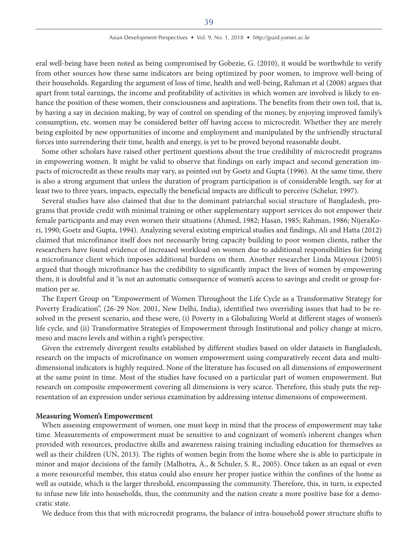eral well-being have been noted as being compromised by Gobezie, G. (2010), it would be worthwhile to verify from other sources how these same indicators are being optimized by poor women, to improve well-being of their households. Regarding the argument of loss of time, health and well-being, Rahman et al (2008) argues that apart from total earnings, the income and profitability of activities in which women are involved is likely to enhance the position of these women, their consciousness and aspirations. The benefits from their own toil, that is, by having a say in decision making, by way of control on spending of the money, by enjoying improved family's consumption, etc. women may be considered better off having access to microcredit. Whether they are merely being exploited by new opportunities of income and employment and manipulated by the unfriendly structural forces into surrendering their time, health and energy, is yet to be proved beyond reasonable doubt.

Some other scholars have raised other pertinent questions about the true credibility of microcredit programs in empowering women. It might be valid to observe that findings on early impact and second generation impacts of microcredit as these results may vary, as pointed out by Goetz and Gupta (1996). At the same time, there is also a strong argument that unless the duration of program participation is of considerable length, say for at least two to three years, impacts, especially the beneficial impacts are difficult to perceive (Schelur, 1997).

Several studies have also claimed that due to the dominant patriarchal social structure of Bangladesh, programs that provide credit with minimal training or other supplementary support services do not empower their female participants and may even worsen their situations (Ahmed, 1982; Hasan, 1985; Rahman, 1986; NijeraKori, 1990; Goetz and Gupta, 1994). Analyzing several existing empirical studies and findings, Ali and Hatta (2012) claimed that microfinance itself does not necessarily bring capacity building to poor women clients, rather the researchers have found evidence of increased workload on women due to additional responsibilities for being a microfinance client which imposes additional burdens on them. Another researcher Linda Mayoux (2005) argued that though microfinance has the credibility to significantly impact the lives of women by empowering them, it is doubtful and it 'is not an automatic consequence of women's access to savings and credit or group formation per se.

The Expert Group on "Empowerment of Women Throughout the Life Cycle as a Transformative Strategy for Poverty Eradication", (26-29 Nov. 2001, New Delhi, India), identified two overriding issues that had to be resolved in the present scenario, and these were, (i) Poverty in a Globalizing World at different stages of women's life cycle, and (ii) Transformative Strategies of Empowerment through Institutional and policy change at micro, meso and macro levels and within a right's perspective.

Given the extremely divergent results established by different studies based on older datasets in Bangladesh, research on the impacts of microfinance on women empowerment using comparatively recent data and multidimensional indicators is highly required. None of the literature has focused on all dimensions of empowerment at the same point in time. Most of the studies have focused on a particular part of women empowerment. But research on composite empowerment covering all dimensions is very scarce. Therefore, this study puts the representation of an expression under serious examination by addressing intense dimensions of empowerment.

#### **Measuring Women's Empowerment**

When assessing empowerment of women, one must keep in mind that the process of empowerment may take time. Measurements of empowerment must be sensitive to and cognizant of women's inherent changes when provided with resources, productive skills and awareness raising training including education for themselves as well as their children (UN, 2013). The rights of women begin from the home where she is able to participate in minor and major decisions of the family (Malhotra, A., & Schuler, S. R., 2005). Once taken as an equal or even a more resourceful member, this status could also ensure her proper justice within the confines of the home as well as outside, which is the larger threshold, encompassing the community. Therefore, this, in turn, is expected to infuse new life into households, thus, the community and the nation create a more positive base for a democratic state.

We deduce from this that with microcredit programs, the balance of intra-household power structure shifts to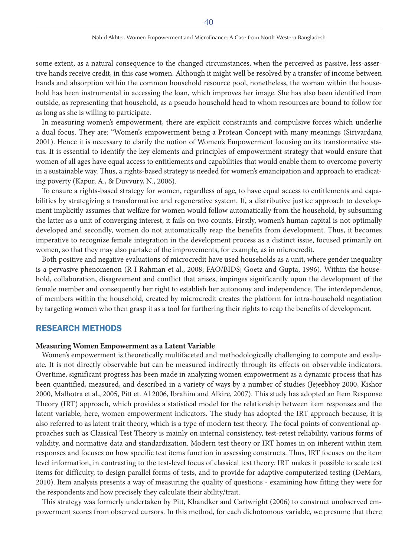some extent, as a natural consequence to the changed circumstances, when the perceived as passive, less-assertive hands receive credit, in this case women. Although it might well be resolved by a transfer of income between hands and absorption within the common household resource pool, nonetheless, the woman within the household has been instrumental in accessing the loan, which improves her image. She has also been identified from outside, as representing that household, as a pseudo household head to whom resources are bound to follow for as long as she is willing to participate.

In measuring women's empowerment, there are explicit constraints and compulsive forces which underlie a dual focus. They are: "Women's empowerment being a Protean Concept with many meanings (Sirivardana 2001). Hence it is necessary to clarify the notion of Women's Empowerment focusing on its transformative status. It is essential to identify the key elements and principles of empowerment strategy that would ensure that women of all ages have equal access to entitlements and capabilities that would enable them to overcome poverty in a sustainable way. Thus, a rights-based strategy is needed for women's emancipation and approach to eradicating poverty (Kapur, A., & Duvvury, N., 2006).

To ensure a rights-based strategy for women, regardless of age, to have equal access to entitlements and capabilities by strategizing a transformative and regenerative system. If, a distributive justice approach to development implicitly assumes that welfare for women would follow automatically from the household, by subsuming the latter as a unit of converging interest, it fails on two counts. Firstly, women's human capital is not optimally developed and secondly, women do not automatically reap the benefits from development. Thus, it becomes imperative to recognize female integration in the development process as a distinct issue, focused primarily on women, so that they may also partake of the improvements, for example, as in microcredit.

Both positive and negative evaluations of microcredit have used households as a unit, where gender inequality is a pervasive phenomenon (R I Rahman et al., 2008; FAO/BIDS; Goetz and Gupta, 1996). Within the household, collaboration, disagreement and conflict that arises, impinges significantly upon the development of the female member and consequently her right to establish her autonomy and independence. The interdependence, of members within the household, created by microcredit creates the platform for intra-household negotiation by targeting women who then grasp it as a tool for furthering their rights to reap the benefits of development.

## RESEARCH METHODS

#### **Measuring Women Empowerment as a Latent Variable**

Women's empowerment is theoretically multifaceted and methodologically challenging to compute and evaluate. It is not directly observable but can be measured indirectly through its effects on observable indicators. Overtime, significant progress has been made in analyzing women empowerment as a dynamic process that has been quantified, measured, and described in a variety of ways by a number of studies (Jejeebhoy 2000, Kishor 2000, Malhotra et al., 2005, Pitt et. Al 2006, Ibrahim and Alkire, 2007). This study has adopted an Item Response Theory (IRT) approach, which provides a statistical model for the relationship between item responses and the latent variable, here, women empowerment indicators. The study has adopted the IRT approach because, it is also referred to as latent trait theory, which is a type of modern test theory. The focal points of conventional approaches such as Classical Test Theory is mainly on internal consistency, test-retest reliability, various forms of validity, and normative data and standardization. Modern test theory or IRT homes in on inherent within item responses and focuses on how specific test items function in assessing constructs. Thus, IRT focuses on the item level information, in contrasting to the test-level focus of classical test theory. IRT makes it possible to scale test items for difficulty, to design parallel forms of tests, and to provide for adaptive computerized testing (DeMars, 2010). Item analysis presents a way of measuring the quality of questions - examining how fitting they were for the respondents and how precisely they calculate their ability/trait.

This strategy was formerly undertaken by Pitt, Khandker and Cartwright (2006) to construct unobserved empowerment scores from observed cursors. In this method, for each dichotomous variable, we presume that there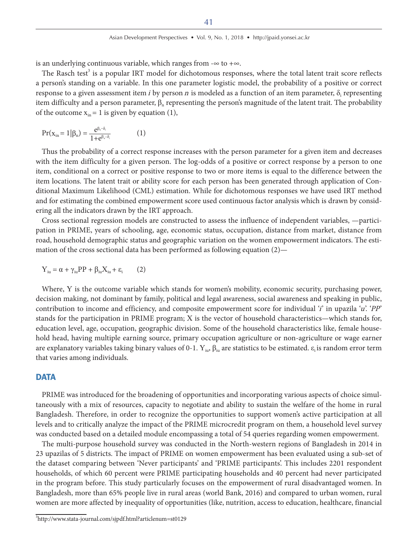is an underlying continuous variable, which ranges from  $-\infty$  to  $+\infty$ .

The Rasch test<sup>3</sup> is a popular IRT model for dichotomous responses, where the total latent trait score reflects a person's standing on a variable. In this one parameter logistic model, the probability of a positive or correct response to a given assessment item i by person n is modeled as a function of an item parameter,  $\delta_i$  representing item difficulty and a person parameter,  $\beta_n$  representing the person's magnitude of the latent trait. The probability of the outcome  $x_{in} = 1$  is given by equation (1),

$$
Pr(x_{in} = 1 | \beta_{n}) = \frac{e^{\beta_{n} - \delta_{i}}}{1 + e^{\beta_{n} - \delta_{i}}}
$$
 (1)

Thus the probability of a correct response increases with the person parameter for a given item and decreases with the item difficulty for a given person. The log-odds of a positive or correct response by a person to one item, conditional on a correct or positive response to two or more items is equal to the difference between the item locations. The latent trait or ability score for each person has been generated through application of Conditional Maximum Likelihood (CML) estimation. While for dichotomous responses we have used IRT method and for estimating the combined empowerment score used continuous factor analysis which is drawn by considering all the indicators drawn by the IRT approach.

Cross sectional regression models are constructed to assess the influence of independent variables, —participation in PRIME, years of schooling, age, economic status, occupation, distance from market, distance from road, household demographic status and geographic variation on the women empowerment indicators. The estimation of the cross sectional data has been performed as following equation (2)—

$$
Y_{iu} = \alpha + \gamma_{iu} PP + \beta_{iu} X_{iu} + \epsilon_i \qquad (2)
$$

Where, Y is the outcome variable which stands for women's mobility, economic security, purchasing power, decision making, not dominant by family, political and legal awareness, social awareness and speaking in public, contribution to income and efficiency, and composite empowerment score for individual  $\hat{i}$  in upazila  $\hat{i}$ .  $\hat{i}$ .  $\hat{i}$ stands for the participation in PRIME program; X is the vector of household characteristics—which stands for, education level, age, occupation, geographic division. Some of the household characteristics like, female household head, having multiple earning source, primary occupation agriculture or non-agriculture or wage earner are explanatory variables taking binary values of 0-1.  $Y_{in}$ ,  $\beta_{in}$  are statistics to be estimated.  $\varepsilon_i$  is random error term that varies among individuals.

## **DATA**

PRIME was introduced for the broadening of opportunities and incorporating various aspects of choice simultaneously with a mix of resources, capacity to negotiate and ability to sustain the welfare of the home in rural Bangladesh. Therefore, in order to recognize the opportunities to support women's active participation at all levels and to critically analyze the impact of the PRIME microcredit program on them, a household level survey was conducted based on a detailed module encompassing a total of 54 queries regarding women empowerment.

The multi-purpose household survey was conducted in the North-western regions of Bangladesh in 2014 in 23 upazilas of 5 districts. The impact of PRIME on women empowerment has been evaluated using a sub-set of the dataset comparing between 'Never participants' and 'PRIME participants'. This includes 2201 respondent households, of which 60 percent were PRIME participating households and 40 percent had never participated in the program before. This study particularly focuses on the empowerment of rural disadvantaged women. In Bangladesh, more than 65% people live in rural areas (world Bank, 2016) and compared to urban women, rural women are more affected by inequality of opportunities (like, nutrition, access to education, healthcare, financial

<sup>3</sup> http://www.stata-journal.com/sjpdf.html?articlenum=st0129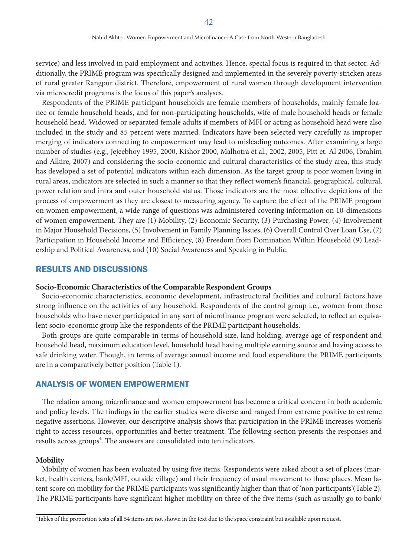service) and less involved in paid employment and activities. Hence, special focus is required in that sector. Additionally, the PRIME program was specifically designed and implemented in the severely poverty-stricken areas of rural greater Rangpur district. Therefore, empowerment of rural women through development intervention via microcredit programs is the focus of this paper's analyses.

Respondents of the PRIME participant households are female members of households, mainly female loanee or female household heads, and for non-participating households, wife of male household heads or female household head. Widowed or separated female adults if members of MFI or acting as household head were also included in the study and 85 percent were married. Indicators have been selected very carefully as improper merging of indicators connecting to empowerment may lead to misleading outcomes. After examining a large number of studies (e.g., Jejeebhoy 1995, 2000, Kishor 2000, Malhotra et al., 2002, 2005, Pitt et. Al 2006, Ibrahim and Alkire, 2007) and considering the socio-economic and cultural characteristics of the study area, this study has developed a set of potential indicators within each dimension. As the target group is poor women living in rural areas, indicators are selected in such a manner so that they reflect women's financial, geographical, cultural, power relation and intra and outer household status. Those indicators are the most effective depictions of the process of empowerment as they are closest to measuring agency. To capture the effect of the PRIME program on women empowerment, a wide range of questions was administered covering information on 10-dimensions of women empowerment. They are (1) Mobility, (2) Economic Security, (3) Purchasing Power, (4) Involvement in Major Household Decisions, (5) Involvement in Family Planning Issues, (6) Overall Control Over Loan Use, (7) Participation in Household Income and Efficiency, (8) Freedom from Domination Within Household (9) Leadership and Political Awareness, and (10) Social Awareness and Speaking in Public.

# RESULTS AND DISCUSSIONS

## **Socio-Economic Characteristics of the Comparable Respondent Groups**

Socio-economic characteristics, economic development, infrastructural facilities and cultural factors have strong influence on the activities of any household. Respondents of the control group i.e., women from those households who have never participated in any sort of microfinance program were selected, to reflect an equivalent socio-economic group like the respondents of the PRIME participant households.

Both groups are quite comparable in terms of household size, land holding, average age of respondent and household head, maximum education level, household head having multiple earning source and having access to safe drinking water. Though, in terms of average annual income and food expenditure the PRIME participants are in a comparatively better position (Table 1).

# ANALYSIS OF WOMEN EMPOWERMENT

The relation among microfinance and women empowerment has become a critical concern in both academic and policy levels. The findings in the earlier studies were diverse and ranged from extreme positive to extreme negative assertions. However, our descriptive analysis shows that participation in the PRIME increases women's right to access resources, opportunities and better treatment. The following section presents the responses and results across groups<sup>4</sup>. The answers are consolidated into ten indicators.

#### **Mobility**

Mobility of women has been evaluated by using five items. Respondents were asked about a set of places (market, health centers, bank/MFI, outside village) and their frequency of usual movement to those places. Mean latent score on mobility for the PRIME participants was significantly higher than that of 'non participants'(Table 2). The PRIME participants have significant higher mobility on three of the five items (such as usually go to bank/

<sup>4</sup> Tables of the proportion tests of all 54 items are not shown in the text due to the space constraint but available upon request.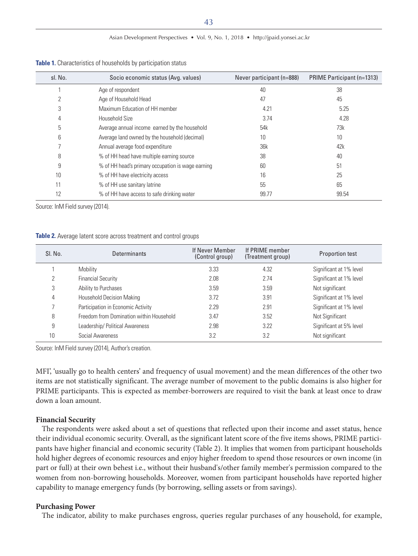| sl. No. | Socio economic status (Avg. values)               | Never participant (n=888) | <b>PRIME Participant (n=1313)</b> |
|---------|---------------------------------------------------|---------------------------|-----------------------------------|
|         | Age of respondent                                 | 40                        | 38                                |
|         | Age of Household Head                             | 47                        | 45                                |
| 3       | Maximum Education of HH member                    | 4.21                      | 5.25                              |
| 4       | Household Size                                    | 3.74                      | 4.28                              |
| 5       | Average annual income earned by the household     | 54k                       | 73k                               |
| 6       | Average land owned by the household (decimal)     | 10                        | 10                                |
|         | Annual average food expenditure                   | 36k                       | 42k                               |
| 8       | % of HH head have multiple earning source         | 38                        | 40                                |
| 9       | % of HH head's primary occupation is wage earning | 60                        | 51                                |
| 10      | % of HH have electricity access                   | 16                        | 25                                |
| 11      | % of HH use sanitary latrine                      | 55                        | 65                                |
|         | % of HH have access to safe drinking water        | 99.77                     | 99.54                             |

**Table 1.** Characteristics of households by participation status

Source: InM Field survey (2014).

#### **Table 2.** Average latent score across treatment and control groups

| SI. No. | <b>Determinants</b>                      | If Never Member<br>(Control group) | If PRIME member<br>(Treatment group) | <b>Proportion test</b>  |
|---------|------------------------------------------|------------------------------------|--------------------------------------|-------------------------|
|         | Mobility                                 | 3.33                               | 4.32                                 | Significant at 1% level |
|         | <b>Financial Security</b>                | 2.08                               | 2.74                                 | Significant at 1% level |
| 3       | Ability to Purchases                     | 3.59                               | 3.59                                 | Not significant         |
| 4       | <b>Household Decision Making</b>         | 3.72                               | 3.91                                 | Significant at 1% level |
|         | Participation in Economic Activity       | 2.29                               | 2.91                                 | Significant at 1% level |
| 8       | Freedom from Domination within Household | 3.47                               | 3.52                                 | Not Significant         |
| 9       | Leadership/ Political Awareness          | 2.98                               | 3.22                                 | Significant at 5% level |
| 10      | Social Awareness                         | 3.2                                | 3.2                                  | Not significant         |

Source: InM Field survey (2014), Author's creation.

MFI', 'usually go to health centers' and frequency of usual movement) and the mean differences of the other two items are not statistically significant. The average number of movement to the public domains is also higher for PRIME participants. This is expected as member-borrowers are required to visit the bank at least once to draw down a loan amount.

## **Financial Security**

The respondents were asked about a set of questions that reflected upon their income and asset status, hence their individual economic security. Overall, as the significant latent score of the five items shows, PRIME participants have higher financial and economic security (Table 2). It implies that women from participant households hold higher degrees of economic resources and enjoy higher freedom to spend those resources or own income (in part or full) at their own behest i.e., without their husband's/other family member's permission compared to the women from non-borrowing households. Moreover, women from participant households have reported higher capability to manage emergency funds (by borrowing, selling assets or from savings).

#### **Purchasing Power**

The indicator, ability to make purchases engross, queries regular purchases of any household, for example,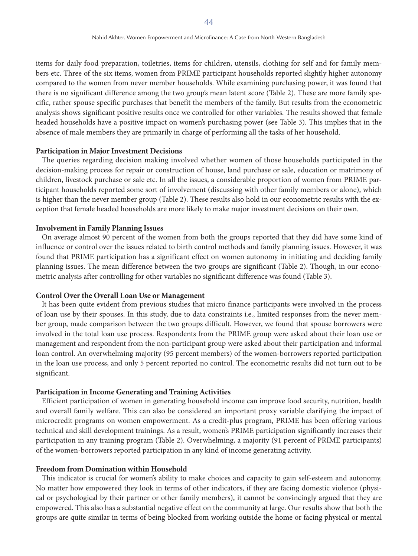items for daily food preparation, toiletries, items for children, utensils, clothing for self and for family members etc. Three of the six items, women from PRIME participant households reported slightly higher autonomy compared to the women from never member households. While examining purchasing power, it was found that there is no significant difference among the two group's mean latent score (Table 2). These are more family specific, rather spouse specific purchases that benefit the members of the family. But results from the econometric analysis shows significant positive results once we controlled for other variables. The results showed that female headed households have a positive impact on women's purchasing power (see Table 3). This implies that in the absence of male members they are primarily in charge of performing all the tasks of her household.

#### **Participation in Major Investment Decisions**

The queries regarding decision making involved whether women of those households participated in the decision-making process for repair or construction of house, land purchase or sale, education or matrimony of children, livestock purchase or sale etc. In all the issues, a considerable proportion of women from PRIME participant households reported some sort of involvement (discussing with other family members or alone), which is higher than the never member group (Table 2). These results also hold in our econometric results with the exception that female headed households are more likely to make major investment decisions on their own.

## **Involvement in Family Planning Issues**

On average almost 90 percent of the women from both the groups reported that they did have some kind of influence or control over the issues related to birth control methods and family planning issues. However, it was found that PRIME participation has a significant effect on women autonomy in initiating and deciding family planning issues. The mean difference between the two groups are significant (Table 2). Though, in our econometric analysis after controlling for other variables no significant difference was found (Table 3).

## **Control Over the Overall Loan Use or Management**

It has been quite evident from previous studies that micro finance participants were involved in the process of loan use by their spouses. In this study, due to data constraints i.e., limited responses from the never member group, made comparison between the two groups difficult. However, we found that spouse borrowers were involved in the total loan use process. Respondents from the PRIME group were asked about their loan use or management and respondent from the non-participant group were asked about their participation and informal loan control. An overwhelming majority (95 percent members) of the women-borrowers reported participation in the loan use process, and only 5 percent reported no control. The econometric results did not turn out to be significant.

#### **Participation in Income Generating and Training Activities**

Efficient participation of women in generating household income can improve food security, nutrition, health and overall family welfare. This can also be considered an important proxy variable clarifying the impact of microcredit programs on women empowerment. As a credit-plus program, PRIME has been offering various technical and skill development trainings. As a result, women's PRIME participation significantly increases their participation in any training program (Table 2). Overwhelming, a majority (91 percent of PRIME participants) of the women-borrowers reported participation in any kind of income generating activity.

## **Freedom from Domination within Household**

This indicator is crucial for women's ability to make choices and capacity to gain self-esteem and autonomy. No matter how empowered they look in terms of other indicators, if they are facing domestic violence (physical or psychological by their partner or other family members), it cannot be convincingly argued that they are empowered. This also has a substantial negative effect on the community at large. Our results show that both the groups are quite similar in terms of being blocked from working outside the home or facing physical or mental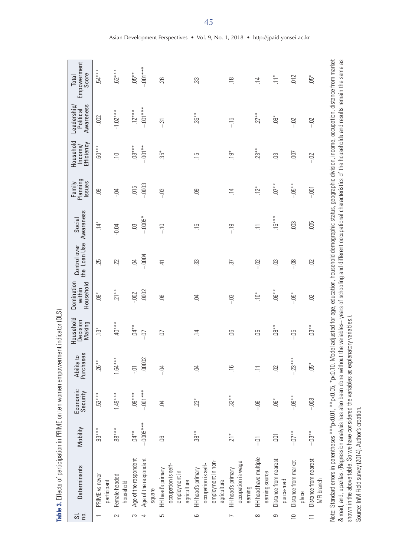| no.<br>$\overline{5}$ | Determinants                                                                                                                                                                                                                                                                                                                                                                                           | Mobility         | Economic<br>Security | Ability to<br>Purchases | Household<br>Decision<br>Making | Domination<br>Household<br>within | the Loan Use<br>Control over | Awareness<br>Social | Planning<br>Issues<br>Family | Household<br>Efficiency<br>Income/ | Awareness<br>Leadership<br>Political | Empowerment<br>Score<br>Total                                                                                                       |
|-----------------------|--------------------------------------------------------------------------------------------------------------------------------------------------------------------------------------------------------------------------------------------------------------------------------------------------------------------------------------------------------------------------------------------------------|------------------|----------------------|-------------------------|---------------------------------|-----------------------------------|------------------------------|---------------------|------------------------------|------------------------------------|--------------------------------------|-------------------------------------------------------------------------------------------------------------------------------------|
|                       | PRIME vs never<br>participant                                                                                                                                                                                                                                                                                                                                                                          | $.93***$         | $53***$              | 26**                    | $13*$                           | $\overset{*}{\text{98}}$          | 25                           | $.14*$              | ළ                            | $.60***$                           | $-002$                               | $54***$                                                                                                                             |
| 2                     | Female headed<br>household                                                                                                                                                                                                                                                                                                                                                                             | $.88***$         | $1.49***$            | $64***$                 | $40***$                         | $21**$                            | 22                           | $-0.04$             | $-5$                         | $\Xi$                              | $-1.02***$                           | $.62***$                                                                                                                            |
| S                     | Age of the respondent                                                                                                                                                                                                                                                                                                                                                                                  | $M^{**}$         | $.09***$             | jĊ                      | $04**$                          | $-002$                            | S.                           | $\ddot{0}$          | $-015$                       | $.08***$                           | $.12***$                             | $05**$                                                                                                                              |
| 4                     | Age of the respondent<br>square                                                                                                                                                                                                                                                                                                                                                                        | $-.0005***$      | $-001***$            | .00002                  | $-0$                            | .0002                             | $-0004$                      | $-0005*$            | $-0003$                      | $-001**$                           | $-001***$                            | $-001$ ***                                                                                                                          |
| S                     | occupation is self-<br>HH head's primary<br>employment in<br>agriculture                                                                                                                                                                                                                                                                                                                               | S.               | S.                   | S.<br>$\mathbf{I}$      | Ğ                               | $\overline{0}$                    | E.                           | $-10$               | $-13$                        | $35^*$                             | $-31$                                | 26                                                                                                                                  |
| 6                     | employment in non-<br>occupation is self-<br>HH head's primary<br>agriculture                                                                                                                                                                                                                                                                                                                          | $38**$           | $23*$                | S.                      | $\overline{4}$                  | $\overline{5}$                    | 33                           | $-15$               | <b>eg</b>                    | $\overline{5}$                     | $-35**$                              | 33                                                                                                                                  |
|                       | occupation is wage<br>HH head's primary<br>earning                                                                                                                                                                                                                                                                                                                                                     | $21*$            | $32**$               | $\frac{1}{2}$           | 8                               | $-03$                             | 57                           | $-19$               | $\overline{4}$               | $\sum_{i=1}^{4}$                   | $-15$                                | $\approx$                                                                                                                           |
| 8                     | HH head have multiple<br>earning source                                                                                                                                                                                                                                                                                                                                                                | ان<br>ا          | $-00$                | $\equiv$                | ЭÖ.                             | $\sum_{i=1}^{n}$                  | $-02$                        | $\equiv$            | $12*$                        | $23**$                             | $27**$                               | $\overline{4}$                                                                                                                      |
| 9                     | Distance from nearest<br>pucca-road                                                                                                                                                                                                                                                                                                                                                                    | $\overline{001}$ | $-00$ *              | $\Omega$                | $-0.08**$                       | $-06**$                           | S<br>T                       | $-15***$            | $-0.07$                      | S.                                 | $-08*$                               | $\frac{1}{\sqrt{2}}$                                                                                                                |
| $\cup$                | Distance from market<br>place                                                                                                                                                                                                                                                                                                                                                                          | $-0.07$          | $-109**$             | $.23***$<br>I,          | -05                             | $-05*$                            | 8Ö<br>T                      | .003                | $-.05**$                     | $-00$                              | $-02$                                | 012                                                                                                                                 |
|                       | Distance from nearest<br>MFI branch                                                                                                                                                                                                                                                                                                                                                                    | $-03**$          | $-008$               | $65*$                   | $03**$                          | 02                                | $\Omega$                     | 005                 | $-001$                       | $-02$                              | $-02$                                | $-5$                                                                                                                                |
|                       | & road, and, upazilas. (Regression analysis has also been done without the variables-- years of schooling and different occupational characteristics of the households and results remain the same as<br>shown in the above table. So we have considered the variables as<br>Note: Standard errors in parentheses *** p<0.01, ** p<0.05, * p<0.<br>Source: InM Field survey (2014), Author's creation. |                  |                      |                         | explanatory variables.)         |                                   |                              |                     |                              |                                    |                                      | .10. Model adjusted for age, education, household demographic status, geographic division, income, occupation, distance from market |

Table 3. Effects of participation in PRIME on ten women empowerment indicator (OLS) **Table 3.** Effects of participation in PRIME on ten women empowerment indicator (OLS)

Asian Development Perspectives • Vol. 9, No. 1, 2018 • http://jpaid.yonsei.ac.kr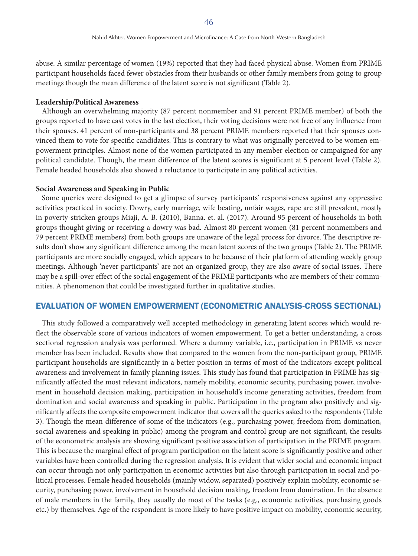abuse. A similar percentage of women (19%) reported that they had faced physical abuse. Women from PRIME participant households faced fewer obstacles from their husbands or other family members from going to group meetings though the mean difference of the latent score is not significant (Table 2).

#### **Leadership/Political Awareness**

Although an overwhelming majority (87 percent nonmember and 91 percent PRIME member) of both the groups reported to have cast votes in the last election, their voting decisions were not free of any influence from their spouses. 41 percent of non-participants and 38 percent PRIME members reported that their spouses convinced them to vote for specific candidates. This is contrary to what was originally perceived to be women empowerment principles. Almost none of the women participated in any member election or campaigned for any political candidate. Though, the mean difference of the latent scores is significant at 5 percent level (Table 2). Female headed households also showed a reluctance to participate in any political activities.

## **Social Awareness and Speaking in Public**

Some queries were designed to get a glimpse of survey participants' responsiveness against any oppressive activities practiced in society. Dowry, early marriage, wife beating, unfair wages, rape are still prevalent, mostly in poverty-stricken groups Miaji, A. B. (2010), Banna. et. al. (2017). Around 95 percent of households in both groups thought giving or receiving a dowry was bad. Almost 80 percent women (81 percent nonmembers and 79 percent PRIME members) from both groups are unaware of the legal process for divorce. The descriptive results don't show any significant difference among the mean latent scores of the two groups (Table 2). The PRIME participants are more socially engaged, which appears to be because of their platform of attending weekly group meetings. Although 'never participants' are not an organized group, they are also aware of social issues. There may be a spill-over effect of the social engagement of the PRIME participants who are members of their communities. A phenomenon that could be investigated further in qualitative studies.

## EVALUATION OF WOMEN EMPOWERMENT (ECONOMETRIC ANALYSIS-CROSS SECTIONAL)

This study followed a comparatively well accepted methodology in generating latent scores which would reflect the observable score of various indicators of women empowerment. To get a better understanding, a cross sectional regression analysis was performed. Where a dummy variable, i.e., participation in PRIME vs never member has been included. Results show that compared to the women from the non-participant group, PRIME participant households are significantly in a better position in terms of most of the indicators except political awareness and involvement in family planning issues. This study has found that participation in PRIME has significantly affected the most relevant indicators, namely mobility, economic security, purchasing power, involvement in household decision making, participation in household's income generating activities, freedom from domination and social awareness and speaking in public. Participation in the program also positively and significantly affects the composite empowerment indicator that covers all the queries asked to the respondents (Table 3). Though the mean difference of some of the indicators (e.g., purchasing power, freedom from domination, social awareness and speaking in public) among the program and control group are not significant, the results of the econometric analysis are showing significant positive association of participation in the PRIME program. This is because the marginal effect of program participation on the latent score is significantly positive and other variables have been controlled during the regression analysis. It is evident that wider social and economic impact can occur through not only participation in economic activities but also through participation in social and political processes. Female headed households (mainly widow, separated) positively explain mobility, economic security, purchasing power, involvement in household decision making, freedom from domination. In the absence of male members in the family, they usually do most of the tasks (e.g., economic activities, purchasing goods etc.) by themselves. Age of the respondent is more likely to have positive impact on mobility, economic security,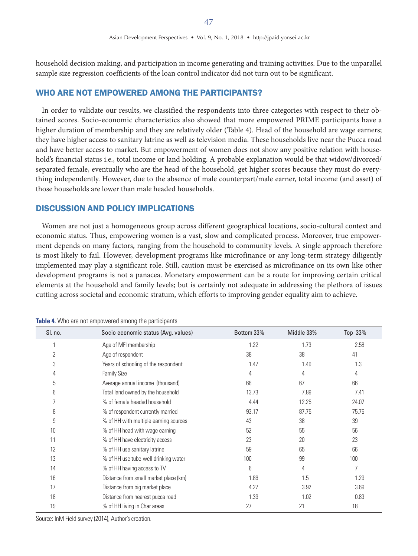household decision making, and participation in income generating and training activities. Due to the unparallel sample size regression coefficients of the loan control indicator did not turn out to be significant.

## WHO ARE NOT EMPOWERED AMONG THE PARTICIPANTS?

In order to validate our results, we classified the respondents into three categories with respect to their obtained scores. Socio-economic characteristics also showed that more empowered PRIME participants have a higher duration of membership and they are relatively older (Table 4). Head of the household are wage earners; they have higher access to sanitary latrine as well as television media. These households live near the Pucca road and have better access to market. But empowerment of women does not show any positive relation with household's financial status i.e., total income or land holding. A probable explanation would be that widow/divorced/ separated female, eventually who are the head of the household, get higher scores because they must do everything independently. However, due to the absence of male counterpart/male earner, total income (and asset) of those households are lower than male headed households.

# DISCUSSION AND POLICY IMPLICATIONS

Women are not just a homogeneous group across different geographical locations, socio-cultural context and economic status. Thus, empowering women is a vast, slow and complicated process. Moreover, true empowerment depends on many factors, ranging from the household to community levels. A single approach therefore is most likely to fail. However, development programs like microfinance or any long-term strategy diligently implemented may play a significant role. Still, caution must be exercised as microfinance on its own like other development programs is not a panacea. Monetary empowerment can be a route for improving certain critical elements at the household and family levels; but is certainly not adequate in addressing the plethora of issues cutting across societal and economic stratum, which efforts to improving gender equality aim to achieve.

| SI. no. | Socio economic status (Avg. values)   | Bottom 33% | Middle 33% | Top 33% |
|---------|---------------------------------------|------------|------------|---------|
|         | Age of MFI membership                 | 1.22       | 1.73       | 2.58    |
| 2       | Age of respondent                     | 38         | 38         | 41      |
| 3       | Years of schooling of the respondent  | 1.47       | 1.49       | 1.3     |
| 4       | <b>Family Size</b>                    | 4          | 4          | 4       |
| 5       | Average annual income (thousand)      | 68         | 67         | 66      |
| 6       | Total land owned by the household     | 13.73      | 7.89       | 7.41    |
| 7       | % of female headed household          | 4.44       | 12.25      | 24.07   |
| 8       | % of respondent currently married     | 93.17      | 87.75      | 75.75   |
| 9       | % of HH with multiple earning sources | 43         | 38         | 39      |
| 10      | % of HH head with wage earning        | 52         | 55         | 56      |
| 11      | % of HH have electricity access       | 23         | 20         | 23      |
| 12      | % of HH use sanitary latrine          | 59         | 65         | 66      |
| 13      | % of HH use tube-well drinking water  | 100        | 99         | 100     |
| 14      | % of HH having access to TV           | 6          | 4          | 7       |
| 16      | Distance from small market place (km) | 1.86       | 1.5        | 1.29    |
| 17      | Distance from big market place        | 4.27       | 3.92       | 3.69    |
| 18      | Distance from nearest pucca road      | 1.39       | 1.02       | 0.83    |
| 19      | % of HH living in Char areas          | 27         | 21         | 18      |

**Table 4.** Who are not empowered among the participants

Source: InM Field survey (2014), Author's creation.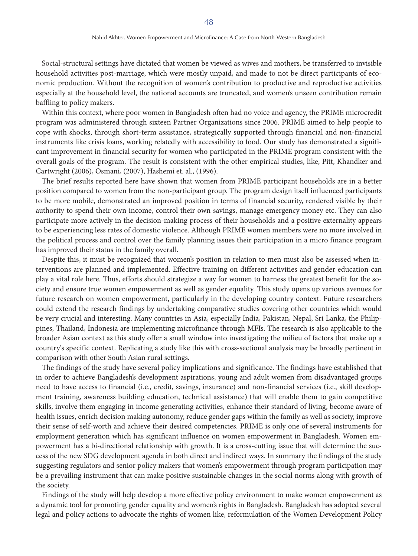Social-structural settings have dictated that women be viewed as wives and mothers, be transferred to invisible household activities post-marriage, which were mostly unpaid, and made to not be direct participants of economic production. Without the recognition of women's contribution to productive and reproductive activities especially at the household level, the national accounts are truncated, and women's unseen contribution remain baffling to policy makers.

Within this context, where poor women in Bangladesh often had no voice and agency, the PRIME microcredit program was administered through sixteen Partner Organizations since 2006. PRIME aimed to help people to cope with shocks, through short-term assistance, strategically supported through financial and non-financial instruments like crisis loans, working relatedly with accessibility to food. Our study has demonstrated a significant improvement in financial security for women who participated in the PRIME program consistent with the overall goals of the program. The result is consistent with the other empirical studies, like, Pitt, Khandker and Cartwright (2006), Osmani, (2007), Hashemi et. al., (1996).

The brief results reported here have shown that women from PRIME participant households are in a better position compared to women from the non-participant group. The program design itself influenced participants to be more mobile, demonstrated an improved position in terms of financial security, rendered visible by their authority to spend their own income, control their own savings, manage emergency money etc. They can also participate more actively in the decision-making process of their households and a positive externality appears to be experiencing less rates of domestic violence. Although PRIME women members were no more involved in the political process and control over the family planning issues their participation in a micro finance program has improved their status in the family overall.

Despite this, it must be recognized that women's position in relation to men must also be assessed when interventions are planned and implemented. Effective training on different activities and gender education can play a vital role here. Thus, efforts should strategize a way for women to harness the greatest benefit for the society and ensure true women empowerment as well as gender equality. This study opens up various avenues for future research on women empowerment, particularly in the developing country context. Future researchers could extend the research findings by undertaking comparative studies covering other countries which would be very crucial and interesting. Many countries in Asia, especially India, Pakistan, Nepal, Sri Lanka, the Philippines, Thailand, Indonesia are implementing microfinance through MFIs. The research is also applicable to the broader Asian context as this study offer a small window into investigating the milieu of factors that make up a country's specific context. Replicating a study like this with cross-sectional analysis may be broadly pertinent in comparison with other South Asian rural settings.

The findings of the study have several policy implications and significance. The findings have established that in order to achieve Bangladesh's development aspirations, young and adult women from disadvantaged groups need to have access to financial (i.e., credit, savings, insurance) and non-financial services (i.e., skill development training, awareness building education, technical assistance) that will enable them to gain competitive skills, involve them engaging in income generating activities, enhance their standard of living, become aware of health issues, enrich decision making autonomy, reduce gender gaps within the family as well as society, improve their sense of self-worth and achieve their desired competencies. PRIME is only one of several instruments for employment generation which has significant influence on women empowerment in Bangladesh. Women empowerment has a bi-directional relationship with growth. It is a cross-cutting issue that will determine the success of the new SDG development agenda in both direct and indirect ways. In summary the findings of the study suggesting regulators and senior policy makers that women's empowerment through program participation may be a prevailing instrument that can make positive sustainable changes in the social norms along with growth of the society.

Findings of the study will help develop a more effective policy environment to make women empowerment as a dynamic tool for promoting gender equality and women's rights in Bangladesh. Bangladesh has adopted several legal and policy actions to advocate the rights of women like, reformulation of the Women Development Policy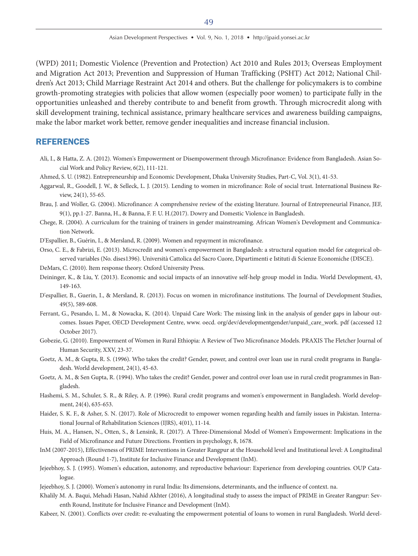(WPD) 2011; Domestic Violence (Prevention and Protection) Act 2010 and Rules 2013; Overseas Employment and Migration Act 2013; Prevention and Suppression of Human Trafficking (PSHT) Act 2012; National Children's Act 2013; Child Marriage Restraint Act 2014 and others. But the challenge for policymakers is to combine growth-promoting strategies with policies that allow women (especially poor women) to participate fully in the opportunities unleashed and thereby contribute to and benefit from growth. Through microcredit along with skill development training, technical assistance, primary healthcare services and awareness building campaigns, make the labor market work better, remove gender inequalities and increase financial inclusion.

# **REFERENCES**

- Ali, I., & Hatta, Z. A. (2012). Women's Empowerment or Disempowerment through Microfinance: Evidence from Bangladesh. Asian Social Work and Policy Review, 6(2), 111-121.
- Ahmed, S. U. (1982). Entrepreneurship and Economic Development, Dhaka University Studies, Part-C, Vol. 3(1), 41-53.
- Aggarwal, R., Goodell, J. W., & Selleck, L. J. (2015). Lending to women in microfinance: Role of social trust. International Business Review, 24(1), 55-65.
- Brau, J. and Woller, G. (2004). Microfinance: A comprehensive review of the existing literature. Journal of Entrepreneurial Finance, JEF, 9(1), pp.1-27. Banna, H., & Banna, F. F. U. H.(2017). Dowry and Domestic Violence in Bangladesh.
- Chege, R. (2004). A curriculum for the training of trainers in gender mainstreaming. African Women's Development and Communication Network.
- D'Espallier, B., Guérin, I., & Mersland, R. (2009). Women and repayment in microfinance.
- Orso, C. E., & Fabrizi, E. (2013). Microcredit and women's empowerment in Bangladesh: a structural equation model for categorical observed variables (No. dises1396). Università Cattolica del Sacro Cuore, Dipartimenti e Istituti di Scienze Economiche (DISCE).
- DeMars, C. (2010). Item response theory. Oxford University Press.
- Deininger, K., & Liu, Y. (2013). Economic and social impacts of an innovative self-help group model in India. World Development, 43, 149-163.
- D'espallier, B., Guerin, I., & Mersland, R. (2013). Focus on women in microfinance institutions. The Journal of Development Studies, 49(5), 589-608.
- Ferrant, G., Pesando, L. M., & Nowacka, K. (2014). Unpaid Care Work: The missing link in the analysis of gender gaps in labour outcomes. Issues Paper, OECD Development Centre, www. oecd. org/dev/developmentgender/unpaid\_care\_work. pdf (accessed 12 October 2017).
- Gobezie, G. (2010). Empowerment of Women in Rural Ethiopia: A Review of Two Microfinance Models. PRAXIS The Fletcher Journal of Human Security, XXV, 23-37.
- Goetz, A. M., & Gupta, R. S. (1996). Who takes the credit? Gender, power, and control over loan use in rural credit programs in Bangladesh. World development, 24(1), 45-63.
- Goetz, A. M., & Sen Gupta, R. (1994). Who takes the credit? Gender, power and control over loan use in rural credit programmes in Bangladesh.
- Hashemi, S. M., Schuler, S. R., & Riley, A. P. (1996). Rural credit programs and women's empowerment in Bangladesh. World development, 24(4), 635-653.
- Haider, S. K. F., & Asher, S. N. (2017). Role of Microcredit to empower women regarding health and family issues in Pakistan. International Journal of Rehabilitation Sciences (IJRS), 4(01), 11-14.
- Huis, M. A., Hansen, N., Otten, S., & Lensink, R. (2017). A Three-Dimensional Model of Women's Empowerment: Implications in the Field of Microfinance and Future Directions. Frontiers in psychology, 8, 1678.
- InM (2007-2015), Effectiveness of PRIME Interventions in Greater Rangpur at the Household level and Institutional level: A Longitudinal Approach (Round 1-7), Institute for Inclusive Finance and Development (InM).
- Jejeebhoy, S. J. (1995). Women's education, autonomy, and reproductive behaviour: Experience from developing countries. OUP Catalogue.
- Jejeebhoy, S. J. (2000). Women's autonomy in rural India: Its dimensions, determinants, and the influence of context. na.
- Khalily M. A. Baqui, Mehadi Hasan, Nahid Akhter (2016), A longitudinal study to assess the impact of PRIME in Greater Rangpur: Seventh Round, Institute for Inclusive Finance and Development (InM).
- Kabeer, N. (2001). Conflicts over credit: re-evaluating the empowerment potential of loans to women in rural Bangladesh. World devel-